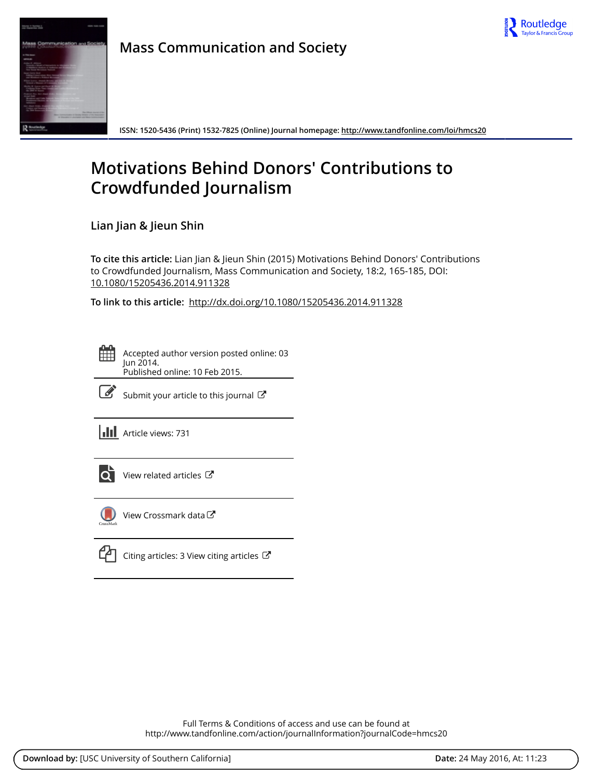



**Mass Communication and Society**

**ISSN: 1520-5436 (Print) 1532-7825 (Online) Journal homepage:<http://www.tandfonline.com/loi/hmcs20>**

# **Motivations Behind Donors' Contributions to Crowdfunded Journalism**

**Lian Jian & Jieun Shin**

**To cite this article:** Lian Jian & Jieun Shin (2015) Motivations Behind Donors' Contributions to Crowdfunded Journalism, Mass Communication and Society, 18:2, 165-185, DOI: [10.1080/15205436.2014.911328](http://www.tandfonline.com/action/showCitFormats?doi=10.1080/15205436.2014.911328)

**To link to this article:** <http://dx.doi.org/10.1080/15205436.2014.911328>



Accepted author version posted online: 03 Jun 2014. Published online: 10 Feb 2015.



 $\overrightarrow{S}$  [Submit your article to this journal](http://www.tandfonline.com/action/authorSubmission?journalCode=hmcs20&page=instructions)  $\overrightarrow{S}$ 

**III** Article views: 731



 $\overrightarrow{Q}$  [View related articles](http://www.tandfonline.com/doi/mlt/10.1080/15205436.2014.911328)  $\overrightarrow{C}$ 



[View Crossmark data](http://crossmark.crossref.org/dialog/?doi=10.1080/15205436.2014.911328&domain=pdf&date_stamp=2014-06-03)



Full Terms & Conditions of access and use can be found at <http://www.tandfonline.com/action/journalInformation?journalCode=hmcs20>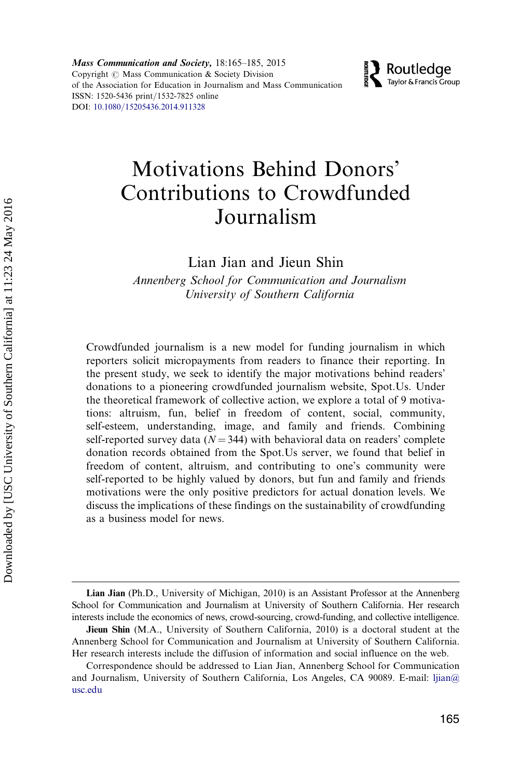Mass Communication and Society, 18:165–185, 2015 Copyright  $\odot$  Mass Communication & Society Division of the Association for Education in Journalism and Mass Communication ISSN: 1520-5436 print/1532-7825 online DOI: [10.1080/15205436.2014.911328](http://dx.doi.org/10.1080/15205436.2014.911328)



## Motivations Behind Donors' Contributions to Crowdfunded Journalism

Lian Jian and Jieun Shin

Annenberg School for Communication and Journalism University of Southern California

Crowdfunded journalism is a new model for funding journalism in which reporters solicit micropayments from readers to finance their reporting. In the present study, we seek to identify the major motivations behind readers' donations to a pioneering crowdfunded journalism website, Spot.Us. Under the theoretical framework of collective action, we explore a total of 9 motivations: altruism, fun, belief in freedom of content, social, community, self-esteem, understanding, image, and family and friends. Combining self-reported survey data ( $N = 344$ ) with behavioral data on readers' complete donation records obtained from the Spot.Us server, we found that belief in freedom of content, altruism, and contributing to one's community were self-reported to be highly valued by donors, but fun and family and friends motivations were the only positive predictors for actual donation levels. We discuss the implications of these findings on the sustainability of crowdfunding as a business model for news.

Lian Jian (Ph.D., University of Michigan, 2010) is an Assistant Professor at the Annenberg School for Communication and Journalism at University of Southern California. Her research interests include the economics of news, crowd-sourcing, crowd-funding, and collective intelligence.

Jieun Shin (M.A., University of Southern California, 2010) is a doctoral student at the Annenberg School for Communication and Journalism at University of Southern California. Her research interests include the diffusion of information and social influence on the web.

Correspondence should be addressed to Lian Jian, Annenberg School for Communication and Journalism, University of Southern California, Los Angeles, CA 90089. E-mail: [ljian@](mailto:ljian@usc.edu) [usc.edu](mailto:ljian@usc.edu)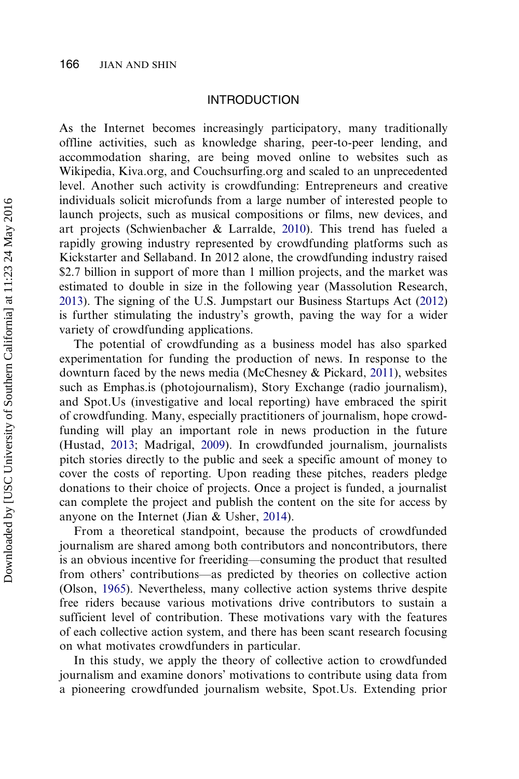#### INTRODUCTION

As the Internet becomes increasingly participatory, many traditionally offline activities, such as knowledge sharing, peer-to-peer lending, and accommodation sharing, are being moved online to websites such as Wikipedia, Kiva.org, and Couchsurfing.org and scaled to an unprecedented level. Another such activity is crowdfunding: Entrepreneurs and creative individuals solicit microfunds from a large number of interested people to launch projects, such as musical compositions or films, new devices, and art projects (Schwienbacher & Larralde, [2010\)](#page-20-0). This trend has fueled a rapidly growing industry represented by crowdfunding platforms such as Kickstarter and Sellaband. In 2012 alone, the crowdfunding industry raised \$2.7 billion in support of more than 1 million projects, and the market was estimated to double in size in the following year (Massolution Research, [2013](#page-19-0)). The signing of the U.S. Jumpstart our Business Startups Act [\(2012\)](#page-20-0) is further stimulating the industry's growth, paving the way for a wider variety of crowdfunding applications.

The potential of crowdfunding as a business model has also sparked experimentation for funding the production of news. In response to the downturn faced by the news media (McChesney & Pickard, [2011](#page-20-0)), websites such as Emphas.is (photojournalism), Story Exchange (radio journalism), and Spot.Us (investigative and local reporting) have embraced the spirit of crowdfunding. Many, especially practitioners of journalism, hope crowdfunding will play an important role in news production in the future (Hustad, [2013](#page-19-0); Madrigal, [2009](#page-19-0)). In crowdfunded journalism, journalists pitch stories directly to the public and seek a specific amount of money to cover the costs of reporting. Upon reading these pitches, readers pledge donations to their choice of projects. Once a project is funded, a journalist can complete the project and publish the content on the site for access by anyone on the Internet (Jian & Usher, [2014\)](#page-19-0).

From a theoretical standpoint, because the products of crowdfunded journalism are shared among both contributors and noncontributors, there is an obvious incentive for freeriding—consuming the product that resulted from others' contributions—as predicted by theories on collective action (Olson, [1965\)](#page-20-0). Nevertheless, many collective action systems thrive despite free riders because various motivations drive contributors to sustain a sufficient level of contribution. These motivations vary with the features of each collective action system, and there has been scant research focusing on what motivates crowdfunders in particular.

In this study, we apply the theory of collective action to crowdfunded journalism and examine donors' motivations to contribute using data from a pioneering crowdfunded journalism website, Spot.Us. Extending prior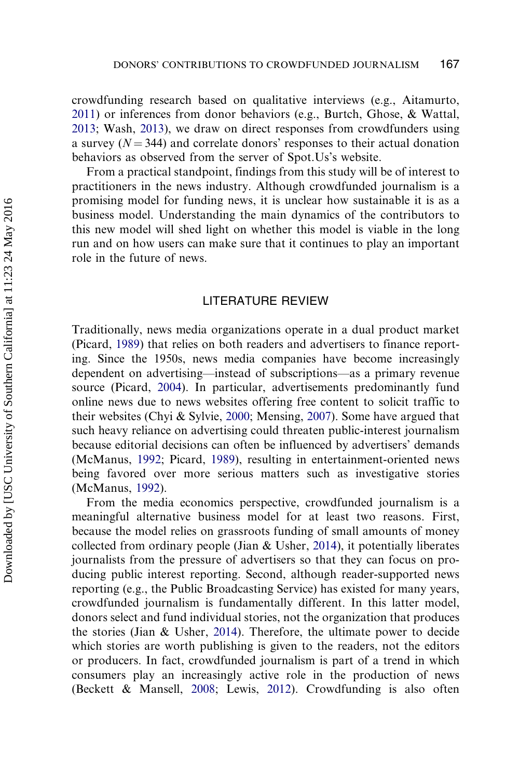crowdfunding research based on qualitative interviews (e.g., Aitamurto, [2011\)](#page-18-0) or inferences from donor behaviors (e.g., Burtch, Ghose, & Wattal, [2013;](#page-19-0) Wash, [2013\)](#page-19-0), we draw on direct responses from crowdfunders using a survey  $(N = 344)$  and correlate donors' responses to their actual donation behaviors as observed from the server of Spot.Us's website.

From a practical standpoint, findings from this study will be of interest to practitioners in the news industry. Although crowdfunded journalism is a promising model for funding news, it is unclear how sustainable it is as a business model. Understanding the main dynamics of the contributors to this new model will shed light on whether this model is viable in the long run and on how users can make sure that it continues to play an important role in the future of news.

## LITERATURE REVIEW

Traditionally, news media organizations operate in a dual product market (Picard, [1989](#page-20-0)) that relies on both readers and advertisers to finance reporting. Since the 1950s, news media companies have become increasingly dependent on advertising—instead of subscriptions—as a primary revenue source (Picard, [2004](#page-20-0)). In particular, advertisements predominantly fund online news due to news websites offering free content to solicit traffic to their websites (Chyi & Sylvie, [2000;](#page-19-0) Mensing, [2007\)](#page-20-0). Some have argued that such heavy reliance on advertising could threaten public-interest journalism because editorial decisions can often be influenced by advertisers' demands (McManus, [1992](#page-20-0); Picard, [1989\)](#page-20-0), resulting in entertainment-oriented news being favored over more serious matters such as investigative stories (McManus, [1992](#page-20-0)).

From the media economics perspective, crowdfunded journalism is a meaningful alternative business model for at least two reasons. First, because the model relies on grassroots funding of small amounts of money collected from ordinary people (Jian & Usher, [2014](#page-19-0)), it potentially liberates journalists from the pressure of advertisers so that they can focus on producing public interest reporting. Second, although reader-supported news reporting (e.g., the Public Broadcasting Service) has existed for many years, crowdfunded journalism is fundamentally different. In this latter model, donors select and fund individual stories, not the organization that produces the stories (Jian & Usher, [2014\)](#page-19-0). Therefore, the ultimate power to decide which stories are worth publishing is given to the readers, not the editors or producers. In fact, crowdfunded journalism is part of a trend in which consumers play an increasingly active role in the production of news (Beckett & Mansell, [2008](#page-18-0); Lewis, [2012](#page-19-0)). Crowdfunding is also often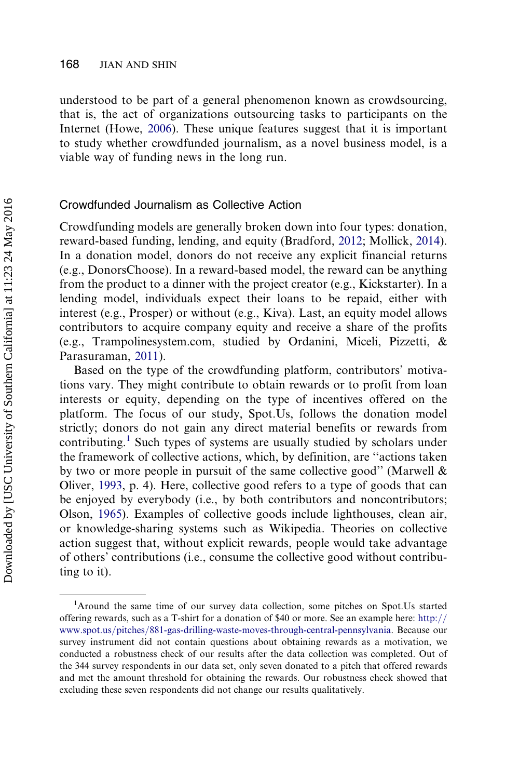understood to be part of a general phenomenon known as crowdsourcing, that is, the act of organizations outsourcing tasks to participants on the Internet (Howe, [2006\)](#page-19-0). These unique features suggest that it is important to study whether crowdfunded journalism, as a novel business model, is a viable way of funding news in the long run.

## Crowdfunded Journalism as Collective Action

Crowdfunding models are generally broken down into four types: donation, reward-based funding, lending, and equity (Bradford, [2012;](#page-18-0) Mollick, [2014](#page-20-0)). In a donation model, donors do not receive any explicit financial returns (e.g., DonorsChoose). In a reward-based model, the reward can be anything from the product to a dinner with the project creator (e.g., Kickstarter). In a lending model, individuals expect their loans to be repaid, either with interest (e.g., Prosper) or without (e.g., Kiva). Last, an equity model allows contributors to acquire company equity and receive a share of the profits (e.g., Trampolinesystem.com, studied by Ordanini, Miceli, Pizzetti, & Parasuraman, [2011](#page-20-0)).

Based on the type of the crowdfunding platform, contributors' motivations vary. They might contribute to obtain rewards or to profit from loan interests or equity, depending on the type of incentives offered on the platform. The focus of our study, Spot.Us, follows the donation model strictly; donors do not gain any direct material benefits or rewards from contributing.<sup>1</sup> Such types of systems are usually studied by scholars under the framework of collective actions, which, by definition, are ''actions taken by two or more people in pursuit of the same collective good" (Marwell  $\&$ Oliver, [1993,](#page-19-0) p. 4). Here, collective good refers to a type of goods that can be enjoyed by everybody (i.e., by both contributors and noncontributors; Olson, [1965](#page-20-0)). Examples of collective goods include lighthouses, clean air, or knowledge-sharing systems such as Wikipedia. Theories on collective action suggest that, without explicit rewards, people would take advantage of others' contributions (i.e., consume the collective good without contributing to it).

<sup>&</sup>lt;sup>1</sup>Around the same time of our survey data collection, some pitches on Spot.Us started offering rewards, such as a T-shirt for a donation of \$40 or more. See an example here: http:// www.spot.us/pitches/881-gas-drilling-waste-moves-through-central-pennsylvania. Because our survey instrument did not contain questions about obtaining rewards as a motivation, we conducted a robustness check of our results after the data collection was completed. Out of the 344 survey respondents in our data set, only seven donated to a pitch that offered rewards and met the amount threshold for obtaining the rewards. Our robustness check showed that excluding these seven respondents did not change our results qualitatively.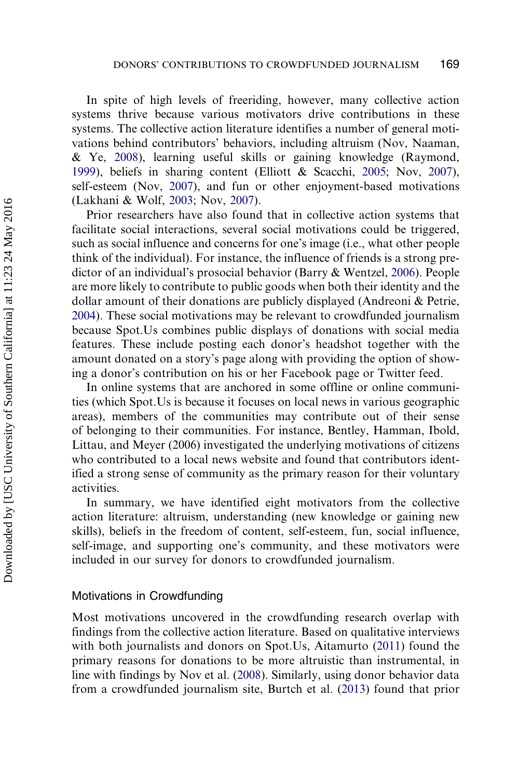In spite of high levels of freeriding, however, many collective action systems thrive because various motivators drive contributions in these systems. The collective action literature identifies a number of general motivations behind contributors' behaviors, including altruism (Nov, Naaman, & Ye, [2008](#page-20-0)), learning useful skills or gaining knowledge (Raymond, [1999\)](#page-20-0), beliefs in sharing content (Elliott & Scacchi, [2005](#page-19-0); Nov, [2007](#page-20-0)), self-esteem (Nov, [2007\)](#page-20-0), and fun or other enjoyment-based motivations (Lakhani & Wolf, [2003;](#page-19-0) Nov, [2007](#page-20-0)).

Prior researchers have also found that in collective action systems that facilitate social interactions, several social motivations could be triggered, such as social influence and concerns for one's image (i.e., what other people think of the individual). For instance, the influence of friends is a strong predictor of an individual's prosocial behavior (Barry & Wentzel, [2006\)](#page-18-0). People are more likely to contribute to public goods when both their identity and the dollar amount of their donations are publicly displayed (Andreoni & Petrie, [2004\)](#page-18-0). These social motivations may be relevant to crowdfunded journalism because Spot.Us combines public displays of donations with social media features. These include posting each donor's headshot together with the amount donated on a story's page along with providing the option of showing a donor's contribution on his or her Facebook page or Twitter feed.

In online systems that are anchored in some offline or online communities (which Spot.Us is because it focuses on local news in various geographic areas), members of the communities may contribute out of their sense of belonging to their communities. For instance, Bentley, Hamman, Ibold, Littau, and Meyer (2006) investigated the underlying motivations of citizens who contributed to a local news website and found that contributors identified a strong sense of community as the primary reason for their voluntary activities.

In summary, we have identified eight motivators from the collective action literature: altruism, understanding (new knowledge or gaining new skills), beliefs in the freedom of content, self-esteem, fun, social influence, self-image, and supporting one's community, and these motivators were included in our survey for donors to crowdfunded journalism.

#### Motivations in Crowdfunding

Most motivations uncovered in the crowdfunding research overlap with findings from the collective action literature. Based on qualitative interviews with both journalists and donors on Spot.Us, Aitamurto ([2011\)](#page-18-0) found the primary reasons for donations to be more altruistic than instrumental, in line with findings by Nov et al. [\(2008](#page-20-0)). Similarly, using donor behavior data from a crowdfunded journalism site, Burtch et al. [\(2013](#page-19-0)) found that prior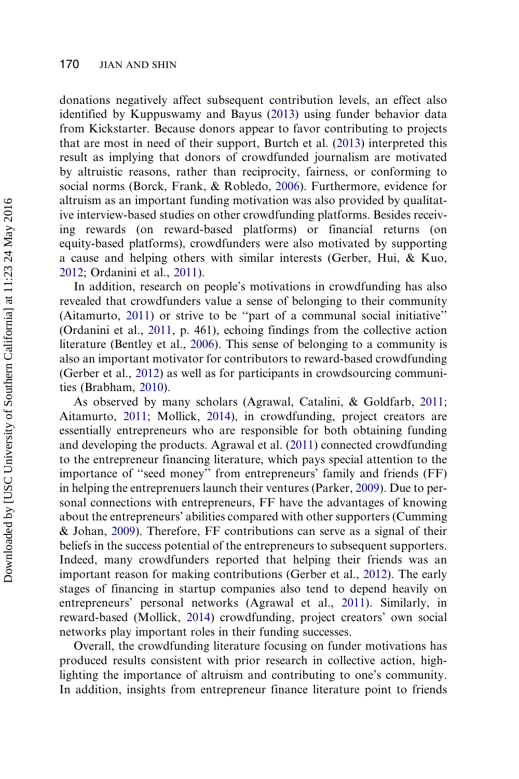donations negatively affect subsequent contribution levels, an effect also identified by Kuppuswamy and Bayus ([2013](#page-19-0)) using funder behavior data from Kickstarter. Because donors appear to favor contributing to projects that are most in need of their support, Burtch et al. [\(2013](#page-19-0)) interpreted this result as implying that donors of crowdfunded journalism are motivated by altruistic reasons, rather than reciprocity, fairness, or conforming to social norms (Borck, Frank, & Robledo, [2006](#page-18-0)). Furthermore, evidence for altruism as an important funding motivation was also provided by qualitative interview-based studies on other crowdfunding platforms. Besides receiving rewards (on reward-based platforms) or financial returns (on equity-based platforms), crowdfunders were also motivated by supporting a cause and helping others with similar interests (Gerber, Hui, & Kuo, [2012](#page-19-0); Ordanini et al., [2011\)](#page-20-0).

In addition, research on people's motivations in crowdfunding has also revealed that crowdfunders value a sense of belonging to their community (Aitamurto, [2011\)](#page-18-0) or strive to be ''part of a communal social initiative'' (Ordanini et al., [2011](#page-20-0), p. 461), echoing findings from the collective action literature (Bentley et al., [2006](#page-18-0)). This sense of belonging to a community is also an important motivator for contributors to reward-based crowdfunding (Gerber et al., [2012\)](#page-19-0) as well as for participants in crowdsourcing communities (Brabham, [2010](#page-18-0)).

As observed by many scholars (Agrawal, Catalini, & Goldfarb, [2011;](#page-18-0) Aitamurto, [2011;](#page-18-0) Mollick, [2014](#page-20-0)), in crowdfunding, project creators are essentially entrepreneurs who are responsible for both obtaining funding and developing the products. Agrawal et al. [\(2011](#page-18-0)) connected crowdfunding to the entrepreneur financing literature, which pays special attention to the importance of ''seed money'' from entrepreneurs' family and friends (FF) in helping the entreprenuers launch their ventures (Parker, [2009\)](#page-20-0). Due to personal connections with entrepreneurs, FF have the advantages of knowing about the entrepreneurs' abilities compared with other supporters (Cumming & Johan, [2009\)](#page-19-0). Therefore, FF contributions can serve as a signal of their beliefs in the success potential of the entrepreneurs to subsequent supporters. Indeed, many crowdfunders reported that helping their friends was an important reason for making contributions (Gerber et al., [2012](#page-19-0)). The early stages of financing in startup companies also tend to depend heavily on entrepreneurs' personal networks (Agrawal et al., [2011](#page-18-0)). Similarly, in reward-based (Mollick, [2014](#page-20-0)) crowdfunding, project creators' own social networks play important roles in their funding successes.

Overall, the crowdfunding literature focusing on funder motivations has produced results consistent with prior research in collective action, highlighting the importance of altruism and contributing to one's community. In addition, insights from entrepreneur finance literature point to friends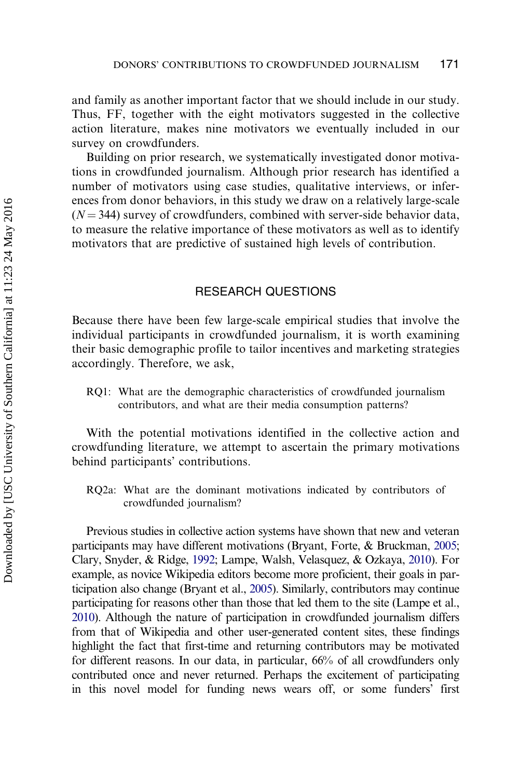and family as another important factor that we should include in our study. Thus, FF, together with the eight motivators suggested in the collective action literature, makes nine motivators we eventually included in our survey on crowdfunders.

Building on prior research, we systematically investigated donor motivations in crowdfunded journalism. Although prior research has identified a number of motivators using case studies, qualitative interviews, or inferences from donor behaviors, in this study we draw on a relatively large-scale  $(N = 344)$  survey of crowdfunders, combined with server-side behavior data, to measure the relative importance of these motivators as well as to identify motivators that are predictive of sustained high levels of contribution.

#### RESEARCH QUESTIONS

Because there have been few large-scale empirical studies that involve the individual participants in crowdfunded journalism, it is worth examining their basic demographic profile to tailor incentives and marketing strategies accordingly. Therefore, we ask,

RQ1: What are the demographic characteristics of crowdfunded journalism contributors, and what are their media consumption patterns?

With the potential motivations identified in the collective action and crowdfunding literature, we attempt to ascertain the primary motivations behind participants' contributions.

RQ2a: What are the dominant motivations indicated by contributors of crowdfunded journalism?

Previous studies in collective action systems have shown that new and veteran participants may have different motivations (Bryant, Forte, & Bruckman, [2005;](#page-18-0) Clary, Snyder, & Ridge, [1992;](#page-19-0) Lampe, Walsh, Velasquez, & Ozkaya, [2010\)](#page-19-0). For example, as novice Wikipedia editors become more proficient, their goals in participation also change (Bryant et al., [2005](#page-18-0)). Similarly, contributors may continue participating for reasons other than those that led them to the site (Lampe et al., [2010\)](#page-19-0). Although the nature of participation in crowdfunded journalism differs from that of Wikipedia and other user-generated content sites, these findings highlight the fact that first-time and returning contributors may be motivated for different reasons. In our data, in particular, 66% of all crowdfunders only contributed once and never returned. Perhaps the excitement of participating in this novel model for funding news wears off, or some funders' first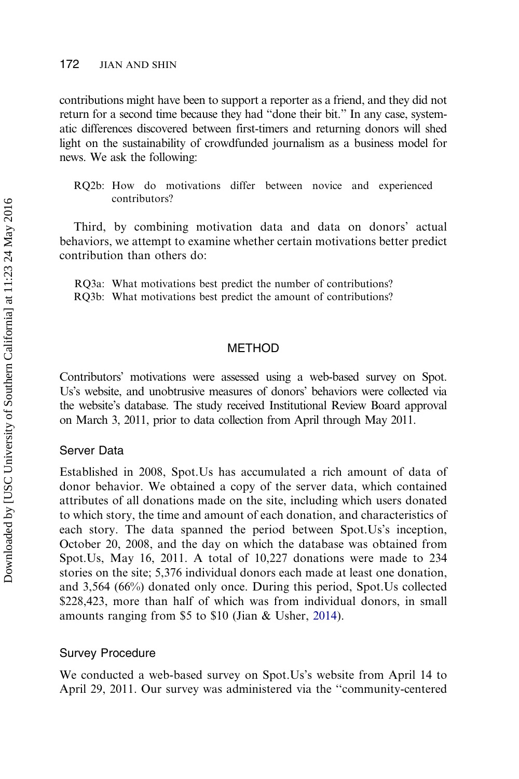#### 172 JIAN AND SHIN

contributions might have been to support a reporter as a friend, and they did not return for a second time because they had ''done their bit.'' In any case, systematic differences discovered between first-timers and returning donors will shed light on the sustainability of crowdfunded journalism as a business model for news. We ask the following:

RQ2b: How do motivations differ between novice and experienced contributors?

Third, by combining motivation data and data on donors' actual behaviors, we attempt to examine whether certain motivations better predict contribution than others do:

RQ3a: What motivations best predict the number of contributions? RQ3b: What motivations best predict the amount of contributions?

#### METHOD

Contributors' motivations were assessed using a web-based survey on Spot. Us's website, and unobtrusive measures of donors' behaviors were collected via the website's database. The study received Institutional Review Board approval on March 3, 2011, prior to data collection from April through May 2011.

#### Server Data

Established in 2008, Spot.Us has accumulated a rich amount of data of donor behavior. We obtained a copy of the server data, which contained attributes of all donations made on the site, including which users donated to which story, the time and amount of each donation, and characteristics of each story. The data spanned the period between Spot.Us's inception, October 20, 2008, and the day on which the database was obtained from Spot.Us, May 16, 2011. A total of 10,227 donations were made to 234 stories on the site; 5,376 individual donors each made at least one donation, and 3,564 (66%) donated only once. During this period, Spot.Us collected \$228,423, more than half of which was from individual donors, in small amounts ranging from \$5 to \$10 (Jian & Usher, [2014\)](#page-19-0).

#### Survey Procedure

We conducted a web-based survey on Spot.Us's website from April 14 to April 29, 2011. Our survey was administered via the ''community-centered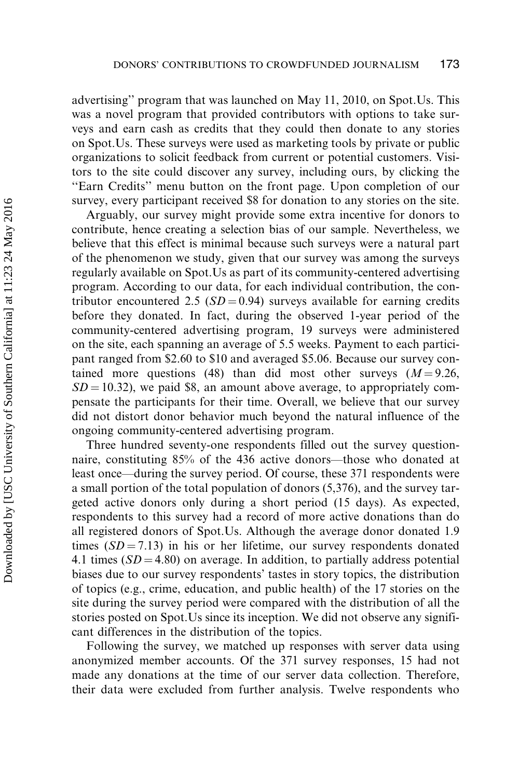advertising'' program that was launched on May 11, 2010, on Spot.Us. This was a novel program that provided contributors with options to take surveys and earn cash as credits that they could then donate to any stories on Spot.Us. These surveys were used as marketing tools by private or public organizations to solicit feedback from current or potential customers. Visitors to the site could discover any survey, including ours, by clicking the ''Earn Credits'' menu button on the front page. Upon completion of our survey, every participant received \$8 for donation to any stories on the site.

Arguably, our survey might provide some extra incentive for donors to contribute, hence creating a selection bias of our sample. Nevertheless, we believe that this effect is minimal because such surveys were a natural part of the phenomenon we study, given that our survey was among the surveys regularly available on Spot.Us as part of its community-centered advertising program. According to our data, for each individual contribution, the contributor encountered 2.5 ( $SD = 0.94$ ) surveys available for earning credits before they donated. In fact, during the observed 1-year period of the community-centered advertising program, 19 surveys were administered on the site, each spanning an average of 5.5 weeks. Payment to each participant ranged from \$2.60 to \$10 and averaged \$5.06. Because our survey contained more questions (48) than did most other surveys  $(M = 9.26,$  $SD = 10.32$ , we paid \$8, an amount above average, to appropriately compensate the participants for their time. Overall, we believe that our survey did not distort donor behavior much beyond the natural influence of the ongoing community-centered advertising program.

Three hundred seventy-one respondents filled out the survey questionnaire, constituting 85% of the 436 active donors—those who donated at least once—during the survey period. Of course, these 371 respondents were a small portion of the total population of donors (5,376), and the survey targeted active donors only during a short period (15 days). As expected, respondents to this survey had a record of more active donations than do all registered donors of Spot.Us. Although the average donor donated 1.9 times  $(SD = 7.13)$  in his or her lifetime, our survey respondents donated 4.1 times  $(SD = 4.80)$  on average. In addition, to partially address potential biases due to our survey respondents' tastes in story topics, the distribution of topics (e.g., crime, education, and public health) of the 17 stories on the site during the survey period were compared with the distribution of all the stories posted on Spot.Us since its inception. We did not observe any significant differences in the distribution of the topics.

Following the survey, we matched up responses with server data using anonymized member accounts. Of the 371 survey responses, 15 had not made any donations at the time of our server data collection. Therefore, their data were excluded from further analysis. Twelve respondents who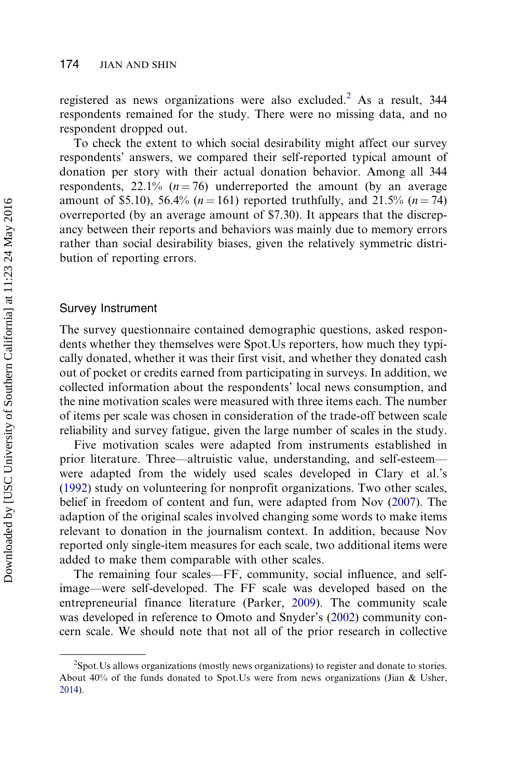registered as news organizations were also excluded.<sup>2</sup> As a result,  $344$ respondents remained for the study. There were no missing data, and no respondent dropped out.

To check the extent to which social desirability might affect our survey respondents' answers, we compared their self-reported typical amount of donation per story with their actual donation behavior. Among all 344 respondents,  $22.1\%$  ( $n = 76$ ) underreported the amount (by an average amount of \$5.10), 56.4% ( $n = 161$ ) reported truthfully, and 21.5% ( $n = 74$ ) overreported (by an average amount of \$7.30). It appears that the discrepancy between their reports and behaviors was mainly due to memory errors rather than social desirability biases, given the relatively symmetric distribution of reporting errors.

#### Survey Instrument

The survey questionnaire contained demographic questions, asked respondents whether they themselves were Spot.Us reporters, how much they typically donated, whether it was their first visit, and whether they donated cash out of pocket or credits earned from participating in surveys. In addition, we collected information about the respondents' local news consumption, and the nine motivation scales were measured with three items each. The number of items per scale was chosen in consideration of the trade-off between scale reliability and survey fatigue, given the large number of scales in the study.

Five motivation scales were adapted from instruments established in prior literature. Three—altruistic value, understanding, and self-esteem were adapted from the widely used scales developed in Clary et al.'s ([1992\)](#page-19-0) study on volunteering for nonprofit organizations. Two other scales, belief in freedom of content and fun, were adapted from Nov [\(2007](#page-20-0)). The adaption of the original scales involved changing some words to make items relevant to donation in the journalism context. In addition, because Nov reported only single-item measures for each scale, two additional items were added to make them comparable with other scales.

The remaining four scales—FF, community, social influence, and selfimage—were self-developed. The FF scale was developed based on the entrepreneurial finance literature (Parker, [2009\)](#page-20-0). The community scale was developed in reference to Omoto and Snyder's [\(2002](#page-20-0)) community concern scale. We should note that not all of the prior research in collective

<sup>&</sup>lt;sup>2</sup>Spot. Us allows organizations (mostly news organizations) to register and donate to stories. About 40% of the funds donated to Spot.Us were from news organizations (Jian & Usher, [2014](#page-19-0)).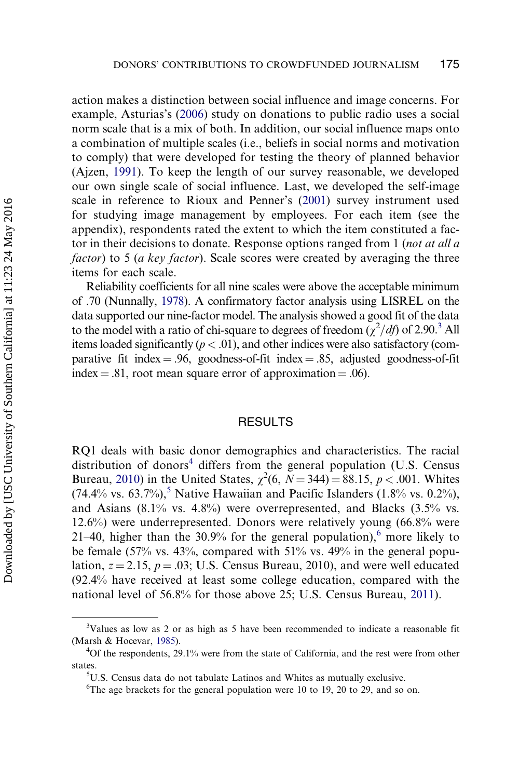action makes a distinction between social influence and image concerns. For example, Asturias's ([2006\)](#page-18-0) study on donations to public radio uses a social norm scale that is a mix of both. In addition, our social influence maps onto a combination of multiple scales (i.e., beliefs in social norms and motivation to comply) that were developed for testing the theory of planned behavior (Ajzen, [1991](#page-18-0)). To keep the length of our survey reasonable, we developed our own single scale of social influence. Last, we developed the self-image scale in reference to Rioux and Penner's ([2001\)](#page-20-0) survey instrument used for studying image management by employees. For each item (see the appendix), respondents rated the extent to which the item constituted a factor in their decisions to donate. Response options ranged from 1 (not at all a factor) to 5 (a key factor). Scale scores were created by averaging the three items for each scale.

Reliability coefficients for all nine scales were above the acceptable minimum of .70 (Nunnally, [1978](#page-20-0)). A confirmatory factor analysis using LISREL on the data supported our nine-factor model. The analysis showed a good fit of the data to the model with a ratio of chi-square to degrees of freedom  $(\chi^2/df)$  of 2.90.<sup>3</sup> All items loaded significantly  $(p < .01)$ , and other indices were also satisfactory (comparative fit index  $= .96$ , goodness-of-fit index  $= .85$ , adjusted goodness-of-fit  $index = .81$ , root mean square error of approximation = .06).

#### RESULTS

RQ1 deals with basic donor demographics and characteristics. The racial distribution of donors<sup>4</sup> differs from the general population (U.S. Census Bureau, [2010](#page-20-0)) in the United States,  $\chi^2(6, N = 344) = 88.15, p < .001$ . Whites (74.4% vs. 63.7%),<sup>5</sup> Native Hawaiian and Pacific Islanders (1.8% vs. 0.2%), and Asians (8.1% vs. 4.8%) were overrepresented, and Blacks (3.5% vs. 12.6%) were underrepresented. Donors were relatively young (66.8% were 21–40, higher than the 30.9% for the general population), $6$  more likely to be female (57% vs. 43%, compared with 51% vs. 49% in the general population,  $z = 2.15$ ,  $p = .03$ ; U.S. Census Bureau, 2010), and were well educated (92.4% have received at least some college education, compared with the national level of 56.8% for those above 25; U.S. Census Bureau, [2011\)](#page-20-0).

<sup>&</sup>lt;sup>3</sup>Values as low as 2 or as high as 5 have been recommended to indicate a reasonable fit (Marsh & Hocevar, [1985\)](#page-19-0).

<sup>&</sup>lt;sup>4</sup>Of the respondents, 29.1% were from the state of California, and the rest were from other states.

<sup>5</sup> U.S. Census data do not tabulate Latinos and Whites as mutually exclusive.

 ${}^{6}$ The age brackets for the general population were 10 to 19, 20 to 29, and so on.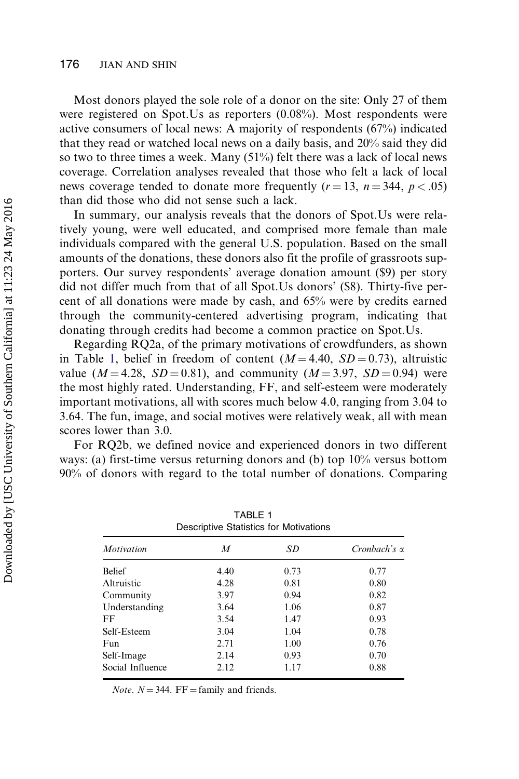#### 176 JIAN AND SHIN

Most donors played the sole role of a donor on the site: Only 27 of them were registered on Spot.Us as reporters (0.08%). Most respondents were active consumers of local news: A majority of respondents (67%) indicated that they read or watched local news on a daily basis, and 20% said they did so two to three times a week. Many (51%) felt there was a lack of local news coverage. Correlation analyses revealed that those who felt a lack of local news coverage tended to donate more frequently  $(r = 13, n = 344, p < .05)$ than did those who did not sense such a lack.

In summary, our analysis reveals that the donors of Spot.Us were relatively young, were well educated, and comprised more female than male individuals compared with the general U.S. population. Based on the small amounts of the donations, these donors also fit the profile of grassroots supporters. Our survey respondents' average donation amount (\$9) per story did not differ much from that of all Spot.Us donors' (\$8). Thirty-five percent of all donations were made by cash, and 65% were by credits earned through the community-centered advertising program, indicating that donating through credits had become a common practice on Spot.Us.

Regarding RQ2a, of the primary motivations of crowdfunders, as shown in Table 1, belief in freedom of content  $(M = 4.40, SD = 0.73)$ , altruistic value ( $M = 4.28$ ,  $SD = 0.81$ ), and community ( $M = 3.97$ ,  $SD = 0.94$ ) were the most highly rated. Understanding, FF, and self-esteem were moderately important motivations, all with scores much below 4.0, ranging from 3.04 to 3.64. The fun, image, and social motives were relatively weak, all with mean scores lower than 3.0.

For RQ2b, we defined novice and experienced donors in two different ways: (a) first-time versus returning donors and (b) top 10% versus bottom 90% of donors with regard to the total number of donations. Comparing

TABLE 1

| Descriptive Statistics for Motivations |      |      |                     |  |  |
|----------------------------------------|------|------|---------------------|--|--|
| <b>Motivation</b>                      | M    | SD.  | Cronbach's $\alpha$ |  |  |
| <b>Belief</b>                          | 4.40 | 0.73 | 0.77                |  |  |
| Altruistic                             | 4.28 | 0.81 | 0.80                |  |  |
| Community                              | 3.97 | 0.94 | 0.82                |  |  |
| Understanding                          | 3.64 | 1.06 | 0.87                |  |  |
| FF                                     | 3.54 | 1.47 | 0.93                |  |  |
| Self-Esteem                            | 3.04 | 1.04 | 0.78                |  |  |
| Fun                                    | 2.71 | 1.00 | 0.76                |  |  |
| Self-Image                             | 2.14 | 0.93 | 0.70                |  |  |
| Social Influence                       | 2.12 | 1.17 | 0.88                |  |  |
|                                        |      |      |                     |  |  |

*Note.*  $N = 344$ . FF = family and friends.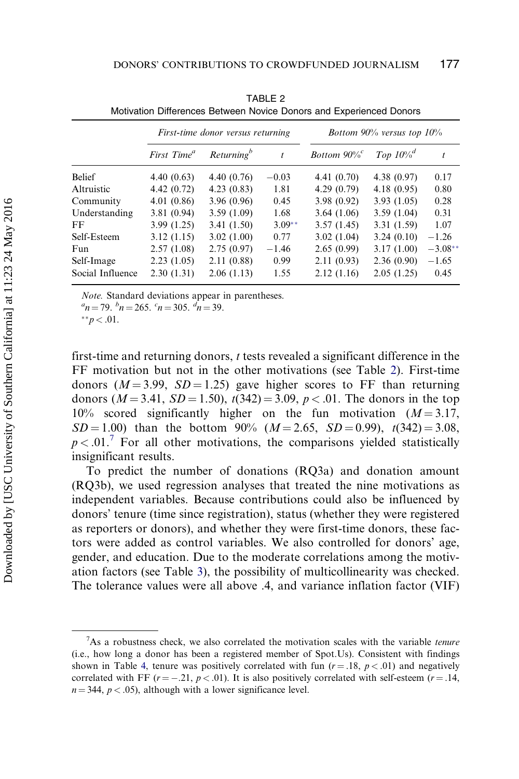<span id="page-13-0"></span>

|                  | First-time donor versus returning |                        |          | Bottom $90\%$ versus top $10\%$ |                         |           |  |
|------------------|-----------------------------------|------------------------|----------|---------------------------------|-------------------------|-----------|--|
|                  | First Time <sup>a</sup>           | Returning <sup>b</sup> | t        | Bottom $90\%$ <sup>c</sup>      | Top $10\%$ <sup>d</sup> | t         |  |
| <b>Belief</b>    | 4.40(0.63)                        | 4.40(0.76)             | $-0.03$  | 4.41 (0.70)                     | 4.38(0.97)              | 0.17      |  |
| Altruistic       | 4.42(0.72)                        | 4.23(0.83)             | 1.81     | 4.29(0.79)                      | 4.18(0.95)              | 0.80      |  |
| Community        | 4.01(0.86)                        | 3.96(0.96)             | 0.45     | 3.98(0.92)                      | 3.93(1.05)              | 0.28      |  |
| Understanding    | 3.81(0.94)                        | 3.59(1.09)             | 1.68     | 3.64(1.06)                      | 3.59(1.04)              | 0.31      |  |
| FF               | 3.99(1.25)                        | 3.41(1.50)             | $3.09**$ | 3.57(1.45)                      | 3.31(1.59)              | 1.07      |  |
| Self-Esteem      | 3.12(1.15)                        | 3.02(1.00)             | 0.77     | 3.02(1.04)                      | 3.24(0.10)              | $-1.26$   |  |
| Fun.             | 2.57(1.08)                        | 2.75(0.97)             | $-1.46$  | 2.65(0.99)                      | 3.17(1.00)              | $-3.08**$ |  |
| Self-Image       | 2.23(1.05)                        | 2.11(0.88)             | 0.99     | 2.11(0.93)                      | 2.36(0.90)              | $-1.65$   |  |
| Social Influence | 2.30(1.31)                        | 2.06(1.13)             | 1.55     | 2.12(1.16)                      | 2.05(1.25)              | 0.45      |  |

TABLE 2 Motivation Differences Between Novice Donors and Experienced Donors

Note. Standard deviations appear in parentheses.

 $n = 79.$   $^b n = 265.$   $^c n = 305.$   $^d n = 39.$ 

\*\* $p < .01$ .

first-time and returning donors, t tests revealed a significant difference in the FF motivation but not in the other motivations (see Table 2). First-time donors ( $M = 3.99$ ,  $SD = 1.25$ ) gave higher scores to FF than returning donors ( $M = 3.41$ ,  $SD = 1.50$ ),  $t(342) = 3.09$ ,  $p < .01$ . The donors in the top 10% scored significantly higher on the fun motivation  $(M = 3.17,$  $SD = 1.00$ ) than the bottom 90% ( $M = 2.65$ ,  $SD = 0.99$ ),  $t(342) = 3.08$ ,  $p < .01$ .<sup>7</sup> For all other motivations, the comparisons yielded statistically insignificant results.

To predict the number of donations (RQ3a) and donation amount (RQ3b), we used regression analyses that treated the nine motivations as independent variables. Because contributions could also be influenced by donors' tenure (time since registration), status (whether they were registered as reporters or donors), and whether they were first-time donors, these factors were added as control variables. We also controlled for donors' age, gender, and education. Due to the moderate correlations among the motivation factors (see Table [3](#page-14-0)), the possibility of multicollinearity was checked. The tolerance values were all above .4, and variance inflation factor (VIF)

 $7$ As a robustness check, we also correlated the motivation scales with the variable tenure (i.e., how long a donor has been a registered member of Spot.Us). Consistent with findings shown in Table [4](#page-14-0), tenure was positively correlated with fun ( $r = .18$ ,  $p < .01$ ) and negatively correlated with FF  $(r = -0.21, p < 0.01)$ . It is also positively correlated with self-esteem  $(r = 0.14, p < 0.01)$ .  $n = 344$ ,  $p < .05$ ), although with a lower significance level.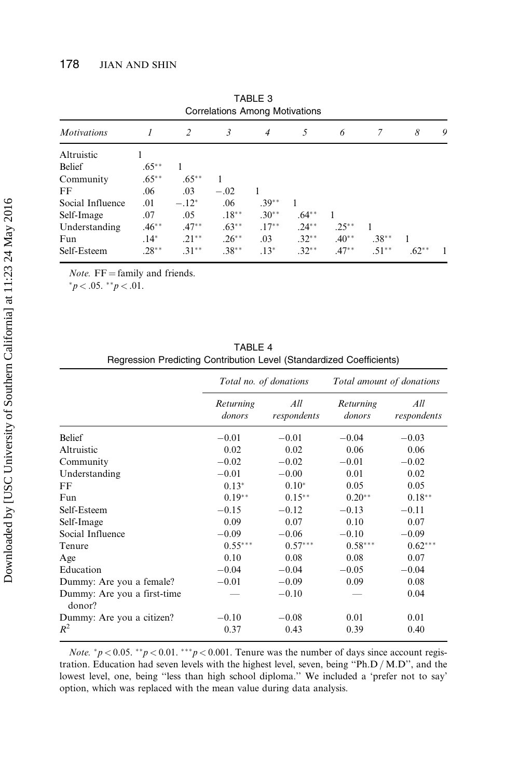<span id="page-14-0"></span>

| Correlations Among Motivations |          |          |          |          |          |          |          |         |   |
|--------------------------------|----------|----------|----------|----------|----------|----------|----------|---------|---|
| <b>Motivations</b>             |          | 2        | 3        | 4        | 5        | 6        | 7        | 8       | 9 |
| Altruistic                     |          |          |          |          |          |          |          |         |   |
| <b>Belief</b>                  | $.65***$ |          |          |          |          |          |          |         |   |
| Community                      | $.65***$ | $.65***$ |          |          |          |          |          |         |   |
| FF                             | .06      | .03      | $-.02$   |          |          |          |          |         |   |
| Social Influence               | .01      | $-.12*$  | .06      | $.39**$  |          |          |          |         |   |
| Self-Image                     | .07      | .05      | $.18***$ | $.30**$  | $.64***$ |          |          |         |   |
| Understanding                  | $.46***$ | $.47**$  | $.63**$  | $.17***$ | $.24***$ | $.25***$ |          |         |   |
| Fun                            | $.14*$   | $.21***$ | $.26***$ | .03      | $.32**$  | $.40**$  | $.38***$ |         |   |
| Self-Esteem                    | $.28**$  | $.31***$ | $.38***$ | $.13*$   | $.32**$  | $.47**$  | $.51**$  | $.62**$ |   |

TABLE 3 Correlations Among Motivations

*Note.*  $FF =$  family and friends.

 $**p* < .05.$   $**p* < .01.$ 

|                                       | Total no. of donations |                    |                     | Total amount of donations |
|---------------------------------------|------------------------|--------------------|---------------------|---------------------------|
|                                       | Returning<br>donors    | All<br>respondents | Returning<br>donors | All<br>respondents        |
| <b>Belief</b>                         | $-0.01$                | $-0.01$            | $-0.04$             | $-0.03$                   |
| Altruistic                            | 0.02                   | 0.02               | 0.06                | 0.06                      |
| Community                             | $-0.02$                | $-0.02$            | $-0.01$             | $-0.02$                   |
| Understanding                         | $-0.01$                | $-0.00$            | 0.01                | 0.02                      |
| FF                                    | $0.13*$                | $0.10*$            | 0.05                | 0.05                      |
| Fun                                   | $0.19**$               | $0.15***$          | $0.20**$            | $0.18**$                  |
| Self-Esteem                           | $-0.15$                | $-0.12$            | $-0.13$             | $-0.11$                   |
| Self-Image                            | 0.09                   | 0.07               | 0.10                | 0.07                      |
| Social Influence                      | $-0.09$                | $-0.06$            | $-0.10$             | $-0.09$                   |
| Tenure                                | $0.55***$              | $0.57***$          | $0.58***$           | $0.62***$                 |
| Age                                   | 0.10                   | 0.08               | 0.08                | 0.07                      |
| Education                             | $-0.04$                | $-0.04$            | $-0.05$             | $-0.04$                   |
| Dummy: Are you a female?              | $-0.01$                | $-0.09$            | 0.09                | 0.08                      |
| Dummy: Are you a first-time<br>donor? |                        | $-0.10$            |                     | 0.04                      |
| Dummy: Are you a citizen?             | $-0.10$                | $-0.08$            | 0.01                | 0.01                      |
| $R^2$                                 | 0.37                   | 0.43               | 0.39                | 0.40                      |

TABLE 4 Regression Predicting Contribution Level (Standardized Coefficients)

*Note.* \* $p < 0.05$ . \*\* $p < 0.01$ . \*\*\* $p < 0.001$ . Tenure was the number of days since account registration. Education had seven levels with the highest level, seven, being "Ph.D / M.D", and the lowest level, one, being ''less than high school diploma.'' We included a 'prefer not to say' option, which was replaced with the mean value during data analysis.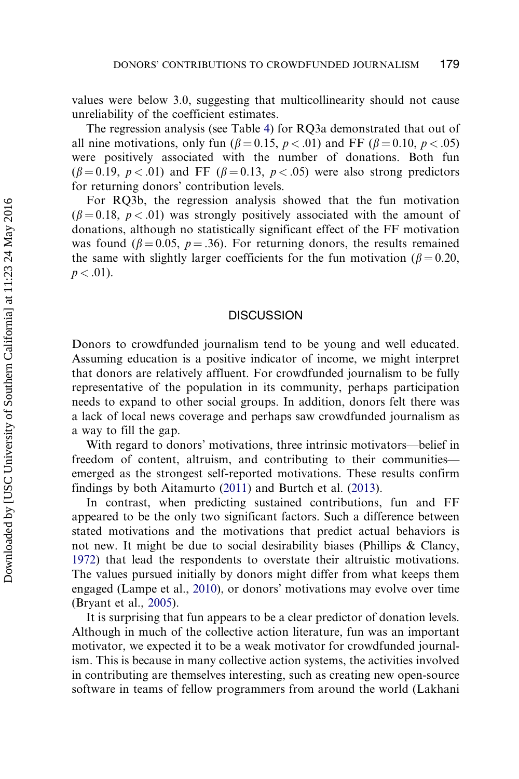values were below 3.0, suggesting that multicollinearity should not cause unreliability of the coefficient estimates.

The regression analysis (see Table [4\)](#page-14-0) for RQ3a demonstrated that out of all nine motivations, only fun ( $\beta = 0.15$ ,  $p < .01$ ) and FF ( $\beta = 0.10$ ,  $p < .05$ ) were positively associated with the number of donations. Both fun  $(\beta = 0.19, p < .01)$  and FF  $(\beta = 0.13, p < .05)$  were also strong predictors for returning donors' contribution levels.

For RQ3b, the regression analysis showed that the fun motivation  $(\beta = 0.18, p < .01)$  was strongly positively associated with the amount of donations, although no statistically significant effect of the FF motivation was found ( $\beta = 0.05$ ,  $p = .36$ ). For returning donors, the results remained the same with slightly larger coefficients for the fun motivation ( $\beta = 0.20$ ,  $p < .01$ ).

#### **DISCUSSION**

Donors to crowdfunded journalism tend to be young and well educated. Assuming education is a positive indicator of income, we might interpret that donors are relatively affluent. For crowdfunded journalism to be fully representative of the population in its community, perhaps participation needs to expand to other social groups. In addition, donors felt there was a lack of local news coverage and perhaps saw crowdfunded journalism as a way to fill the gap.

With regard to donors' motivations, three intrinsic motivators—belief in freedom of content, altruism, and contributing to their communities emerged as the strongest self-reported motivations. These results confirm findings by both Aitamurto ([2011\)](#page-18-0) and Burtch et al. ([2013](#page-19-0)).

In contrast, when predicting sustained contributions, fun and FF appeared to be the only two significant factors. Such a difference between stated motivations and the motivations that predict actual behaviors is not new. It might be due to social desirability biases (Phillips & Clancy, [1972\)](#page-20-0) that lead the respondents to overstate their altruistic motivations. The values pursued initially by donors might differ from what keeps them engaged (Lampe et al., [2010](#page-19-0)), or donors' motivations may evolve over time (Bryant et al., [2005](#page-18-0)).

It is surprising that fun appears to be a clear predictor of donation levels. Although in much of the collective action literature, fun was an important motivator, we expected it to be a weak motivator for crowdfunded journalism. This is because in many collective action systems, the activities involved in contributing are themselves interesting, such as creating new open-source software in teams of fellow programmers from around the world (Lakhani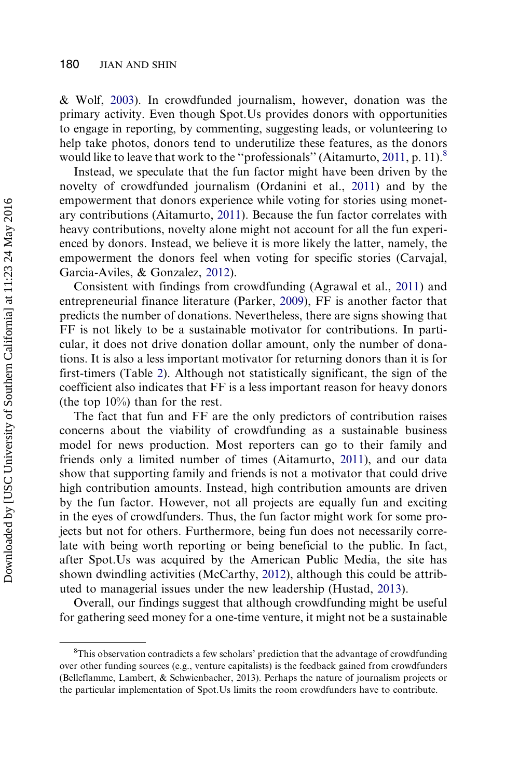& Wolf, [2003\)](#page-19-0). In crowdfunded journalism, however, donation was the primary activity. Even though Spot.Us provides donors with opportunities to engage in reporting, by commenting, suggesting leads, or volunteering to help take photos, donors tend to underutilize these features, as the donors would like to leave that work to the "professionals" (Aitamurto, [2011,](#page-18-0) p. 11).

Instead, we speculate that the fun factor might have been driven by the novelty of crowdfunded journalism (Ordanini et al., [2011\)](#page-20-0) and by the empowerment that donors experience while voting for stories using monetary contributions (Aitamurto, [2011\)](#page-18-0). Because the fun factor correlates with heavy contributions, novelty alone might not account for all the fun experienced by donors. Instead, we believe it is more likely the latter, namely, the empowerment the donors feel when voting for specific stories (Carvajal, Garcia-Aviles, & Gonzalez, [2012](#page-19-0)).

Consistent with findings from crowdfunding (Agrawal et al., [2011](#page-18-0)) and entrepreneurial finance literature (Parker, [2009\)](#page-20-0), FF is another factor that predicts the number of donations. Nevertheless, there are signs showing that FF is not likely to be a sustainable motivator for contributions. In particular, it does not drive donation dollar amount, only the number of donations. It is also a less important motivator for returning donors than it is for first-timers (Table [2\)](#page-13-0). Although not statistically significant, the sign of the coefficient also indicates that FF is a less important reason for heavy donors (the top 10%) than for the rest.

The fact that fun and FF are the only predictors of contribution raises concerns about the viability of crowdfunding as a sustainable business model for news production. Most reporters can go to their family and friends only a limited number of times (Aitamurto, [2011](#page-18-0)), and our data show that supporting family and friends is not a motivator that could drive high contribution amounts. Instead, high contribution amounts are driven by the fun factor. However, not all projects are equally fun and exciting in the eyes of crowdfunders. Thus, the fun factor might work for some projects but not for others. Furthermore, being fun does not necessarily correlate with being worth reporting or being beneficial to the public. In fact, after Spot.Us was acquired by the American Public Media, the site has shown dwindling activities (McCarthy, [2012](#page-19-0)), although this could be attributed to managerial issues under the new leadership (Hustad, [2013](#page-19-0)).

Overall, our findings suggest that although crowdfunding might be useful for gathering seed money for a one-time venture, it might not be a sustainable

<sup>&</sup>lt;sup>8</sup>This observation contradicts a few scholars' prediction that the advantage of crowdfunding over other funding sources (e.g., venture capitalists) is the feedback gained from crowdfunders (Belleflamme, Lambert, & Schwienbacher, 2013). Perhaps the nature of journalism projects or the particular implementation of Spot.Us limits the room crowdfunders have to contribute.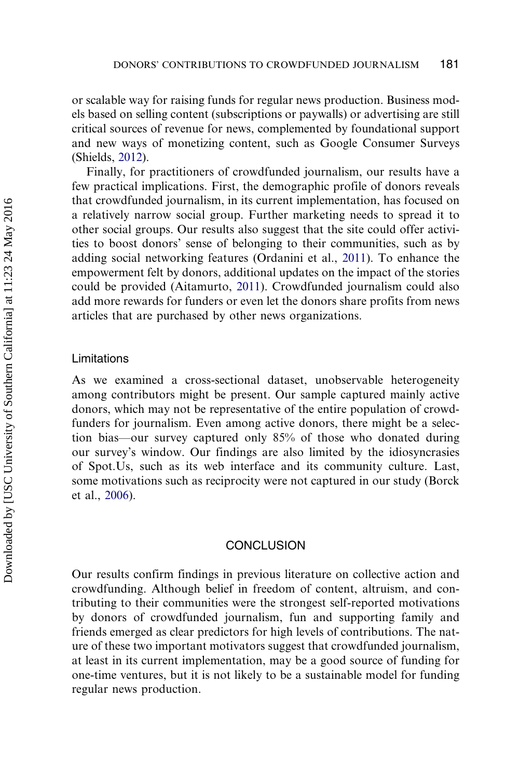or scalable way for raising funds for regular news production. Business models based on selling content (subscriptions or paywalls) or advertising are still critical sources of revenue for news, complemented by foundational support and new ways of monetizing content, such as Google Consumer Surveys (Shields, [2012](#page-20-0)).

Finally, for practitioners of crowdfunded journalism, our results have a few practical implications. First, the demographic profile of donors reveals that crowdfunded journalism, in its current implementation, has focused on a relatively narrow social group. Further marketing needs to spread it to other social groups. Our results also suggest that the site could offer activities to boost donors' sense of belonging to their communities, such as by adding social networking features (Ordanini et al., [2011\)](#page-20-0). To enhance the empowerment felt by donors, additional updates on the impact of the stories could be provided (Aitamurto, [2011\)](#page-18-0). Crowdfunded journalism could also add more rewards for funders or even let the donors share profits from news articles that are purchased by other news organizations.

#### Limitations

As we examined a cross-sectional dataset, unobservable heterogeneity among contributors might be present. Our sample captured mainly active donors, which may not be representative of the entire population of crowdfunders for journalism. Even among active donors, there might be a selection bias—our survey captured only 85% of those who donated during our survey's window. Our findings are also limited by the idiosyncrasies of Spot.Us, such as its web interface and its community culture. Last, some motivations such as reciprocity were not captured in our study (Borck et al., [2006](#page-18-0)).

## **CONCLUSION**

Our results confirm findings in previous literature on collective action and crowdfunding. Although belief in freedom of content, altruism, and contributing to their communities were the strongest self-reported motivations by donors of crowdfunded journalism, fun and supporting family and friends emerged as clear predictors for high levels of contributions. The nature of these two important motivators suggest that crowdfunded journalism, at least in its current implementation, may be a good source of funding for one-time ventures, but it is not likely to be a sustainable model for funding regular news production.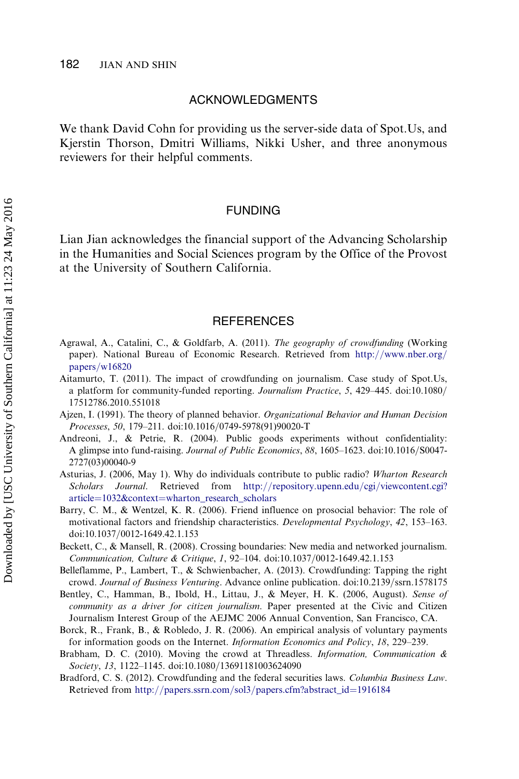#### ACKNOWLEDGMENTS

<span id="page-18-0"></span>We thank David Cohn for providing us the server-side data of Spot.Us, and Kjerstin Thorson, Dmitri Williams, Nikki Usher, and three anonymous reviewers for their helpful comments.

#### FUNDING

Lian Jian acknowledges the financial support of the Advancing Scholarship in the Humanities and Social Sciences program by the Office of the Provost at the University of Southern California.

#### **REFERENCES**

- Agrawal, A., Catalini, C., & Goldfarb, A. (2011). The geography of crowdfunding (Working paper). National Bureau of Economic Research. Retrieved from [http://www.nber.org/](http://www.nber.org/papers/w16820) [papers/w16820](http://www.nber.org/papers/w16820)
- Aitamurto, T. (2011). The impact of crowdfunding on journalism. Case study of Spot.Us, a platform for community-funded reporting. Journalism Practice, 5, 429-445. doi:10.1080/ 17512786.2010.551018
- Ajzen, I. (1991). The theory of planned behavior. Organizational Behavior and Human Decision Processes, 50, 179-211. doi:10.1016/0749-5978(91)90020-T
- Andreoni, J., & Petrie, R. (2004). Public goods experiments without confidentiality: A glimpse into fund-raising. Journal of Public Economics, 88, 1605-1623. doi:10.1016/S0047-2727(03)00040-9
- Asturias, J. (2006, May 1). Why do individuals contribute to public radio? Wharton Research Scholars Journal. Retrieved from [http://repository.upenn.edu/cgi/viewcontent.cgi?](http://repository.upenn.edu/cgi/viewcontent.cgi?article=1032&context=wharton_research_scholars) [article=1032&context=wharton\\_research\\_scholars](http://repository.upenn.edu/cgi/viewcontent.cgi?article=1032&context=wharton_research_scholars)
- Barry, C. M., & Wentzel, K. R. (2006). Friend influence on prosocial behavior: The role of motivational factors and friendship characteristics. Developmental Psychology, 42, 153–163. doi:10.1037/0012-1649.42.1.153
- Beckett, C., & Mansell, R. (2008). Crossing boundaries: New media and networked journalism. Communication, Culture & Critique, 1, 92-104. doi:10.1037/0012-1649.42.1.153
- Belleflamme, P., Lambert, T., & Schwienbacher, A. (2013). Crowdfunding: Tapping the right crowd. Journal of Business Venturing. Advance online publication. doi:10.2139/ssrn.1578175
- Bentley, C., Hamman, B., Ibold, H., Littau, J., & Meyer, H. K. (2006, August). Sense of community as a driver for citizen journalism. Paper presented at the Civic and Citizen Journalism Interest Group of the AEJMC 2006 Annual Convention, San Francisco, CA.
- Borck, R., Frank, B., & Robledo, J. R. (2006). An empirical analysis of voluntary payments for information goods on the Internet. *Information Economics and Policy*, 18, 229–239.
- Brabham, D. C. (2010). Moving the crowd at Threadless. *Information, Communication*  $\&$ Society, 13, 1122–1145. doi:10.1080/13691181003624090
- Bradford, C. S. (2012). Crowdfunding and the federal securities laws. Columbia Business Law. Retrieved from [http://papers.ssrn.com/sol3/papers.cfm?abstract\\_id=1916184](http://papers.ssrn.com/sol3/papers.cfm?abstract_id=1916184)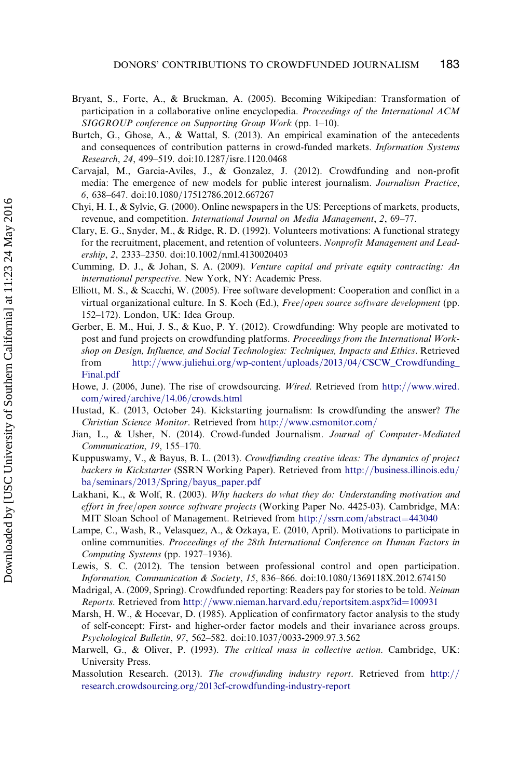- <span id="page-19-0"></span>Bryant, S., Forte, A., & Bruckman, A. (2005). Becoming Wikipedian: Transformation of participation in a collaborative online encyclopedia. Proceedings of the International ACM SIGGROUP conference on Supporting Group Work (pp. 1–10).
- Burtch, G., Ghose, A., & Wattal, S. (2013). An empirical examination of the antecedents and consequences of contribution patterns in crowd-funded markets. *Information Systems* Research, 24, 499-519. doi:10.1287/isre.1120.0468
- Carvajal, M., Garcia-Aviles, J., & Gonzalez, J. (2012). Crowdfunding and non-profit media: The emergence of new models for public interest journalism. Journalism Practice, 6, 638-647. doi:10.1080/17512786.2012.667267
- Chyi, H. I., & Sylvie, G. (2000). Online newspapers in the US: Perceptions of markets, products, revenue, and competition. International Journal on Media Management, 2, 69–77.
- Clary, E. G., Snyder, M., & Ridge, R. D. (1992). Volunteers motivations: A functional strategy for the recruitment, placement, and retention of volunteers. Nonprofit Management and Leadership, 2, 2333-2350. doi:10.1002/nml.4130020403
- Cumming, D. J., & Johan, S. A. (2009). Venture capital and private equity contracting: An international perspective. New York, NY: Academic Press.
- Elliott, M. S., & Scacchi, W. (2005). Free software development: Cooperation and conflict in a virtual organizational culture. In S. Koch (Ed.), *Free/open source software development* (pp. 152–172). London, UK: Idea Group.
- Gerber, E. M., Hui, J. S., & Kuo, P. Y. (2012). Crowdfunding: Why people are motivated to post and fund projects on crowdfunding platforms. Proceedings from the International Workshop on Design, Influence, and Social Technologies: Techniques, Impacts and Ethics. Retrieved from [http://www.juliehui.org/wp-content/uploads/2013/04/CSCW\\_Crowdfunding\\_](http://www.juliehui.org/wp-content/uploads/2013/04/CSCW_Crowdfunding_Final.pdf) [Final.pdf](http://www.juliehui.org/wp-content/uploads/2013/04/CSCW_Crowdfunding_Final.pdf)
- Howe, J. (2006, June). The rise of crowdsourcing. Wired. Retrieved from [http://www.wired.](http://www.wired.com/wired/archive/14.06/crowds.html) [com/wired/archive/14.06/crowds.html](http://www.wired.com/wired/archive/14.06/crowds.html)
- Hustad, K. (2013, October 24). Kickstarting journalism: Is crowdfunding the answer? The Christian Science Monitor. Retrieved from <http://www.csmonitor.com/>
- Jian, L., & Usher, N. (2014). Crowd-funded Journalism. Journal of Computer-Mediated Communication, 19, 155–170.
- Kuppuswamy, V., & Bayus, B. L. (2013). Crowdfunding creative ideas: The dynamics of project backers in Kickstarter (SSRN Working Paper). Retrieved from [http://business.illinois.edu/](http://business.illinois.edu/ba/seminars/2013/Spring/bayus_paper.pdf) [ba/seminars/2013/Spring/bayus\\_paper.pdf](http://business.illinois.edu/ba/seminars/2013/Spring/bayus_paper.pdf)
- Lakhani, K., & Wolf, R. (2003). Why hackers do what they do: Understanding motivation and effort in free/open source software projects (Working Paper No. 4425-03). Cambridge, MA: MIT Sloan School of Management. Retrieved from <http://ssrn.com/abstract=443040>
- Lampe, C., Wash, R., Velasquez, A., & Ozkaya, E. (2010, April). Motivations to participate in online communities. Proceedings of the 28th International Conference on Human Factors in Computing Systems (pp. 1927–1936).
- Lewis, S. C. (2012). The tension between professional control and open participation. Information, Communication & Society, 15, 836-866. doi:10.1080/1369118X.2012.674150
- Madrigal, A. (2009, Spring). Crowdfunded reporting: Readers pay for stories to be told. Neiman Reports. Retrieved from <http://www.nieman.harvard.edu/reportsitem.aspx?id=100931>
- Marsh, H. W., & Hocevar, D. (1985). Application of confirmatory factor analysis to the study of self-concept: First- and higher-order factor models and their invariance across groups. Psychological Bulletin, 97, 562-582. doi:10.1037/0033-2909.97.3.562
- Marwell, G., & Oliver, P. (1993). The critical mass in collective action. Cambridge, UK: University Press.
- Massolution Research. (2013). The crowdfunding industry report. Retrieved from [http://](http://research.crowdsourcing.org/2013cf-crowdfunding-industry-report) [research.crowdsourcing.org/2013cf-crowdfunding-industry-report](http://research.crowdsourcing.org/2013cf-crowdfunding-industry-report)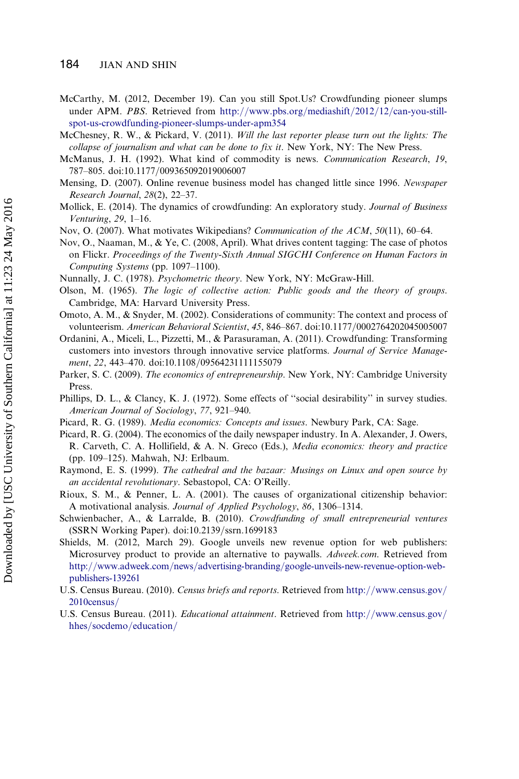#### <span id="page-20-0"></span>184 JIAN AND SHIN

- McCarthy, M. (2012, December 19). Can you still Spot.Us? Crowdfunding pioneer slumps under APM. PBS. Retrieved from [http://www.pbs.org/mediashift/2012/12/can-you-still](http://www.pbs.org/mediashift/2012/12/can-you-still-spot-us-crowdfunding-pioneer-slumps-under-apm354)[spot-us-crowdfunding-pioneer-slumps-under-apm354](http://www.pbs.org/mediashift/2012/12/can-you-still-spot-us-crowdfunding-pioneer-slumps-under-apm354)
- McChesney, R. W., & Pickard, V. (2011). Will the last reporter please turn out the lights: The collapse of journalism and what can be done to fix it. New York, NY: The New Press.
- McManus, J. H. (1992). What kind of commodity is news. Communication Research, 19, 787-805. doi:10.1177/009365092019006007
- Mensing, D. (2007). Online revenue business model has changed little since 1996. Newspaper Research Journal, 28(2), 22–37.
- Mollick, E. (2014). The dynamics of crowdfunding: An exploratory study. *Journal of Business* Venturing, 29, 1–16.
- Nov, O. (2007). What motivates Wikipedians? Communication of the ACM, 50(11), 60–64.
- Nov, O., Naaman, M., & Ye, C. (2008, April). What drives content tagging: The case of photos on Flickr. Proceedings of the Twenty-Sixth Annual SIGCHI Conference on Human Factors in Computing Systems (pp. 1097–1100).
- Nunnally, J. C. (1978). Psychometric theory. New York, NY: McGraw-Hill.
- Olson, M. (1965). The logic of collective action: Public goods and the theory of groups. Cambridge, MA: Harvard University Press.
- Omoto, A. M., & Snyder, M. (2002). Considerations of community: The context and process of volunteerism. American Behavioral Scientist, 45, 846-867. doi:10.1177/0002764202045005007
- Ordanini, A., Miceli, L., Pizzetti, M., & Parasuraman, A. (2011). Crowdfunding: Transforming customers into investors through innovative service platforms. Journal of Service Management, 22, 443-470. doi:10.1108/09564231111155079
- Parker, S. C. (2009). The economics of entrepreneurship. New York, NY: Cambridge University Press.
- Phillips, D. L., & Clancy, K. J. (1972). Some effects of ''social desirability'' in survey studies. American Journal of Sociology, 77, 921–940.
- Picard, R. G. (1989). Media economics: Concepts and issues. Newbury Park, CA: Sage.
- Picard, R. G. (2004). The economics of the daily newspaper industry. In A. Alexander, J. Owers, R. Carveth, C. A. Hollifield, & A. N. Greco (Eds.), Media economics: theory and practice (pp. 109–125). Mahwah, NJ: Erlbaum.
- Raymond, E. S. (1999). The cathedral and the bazaar: Musings on Linux and open source by an accidental revolutionary. Sebastopol, CA: O'Reilly.
- Rioux, S. M., & Penner, L. A. (2001). The causes of organizational citizenship behavior: A motivational analysis. Journal of Applied Psychology, 86, 1306–1314.
- Schwienbacher, A., & Larralde, B. (2010). Crowdfunding of small entrepreneurial ventures (SSRN Working Paper). doi:10.2139/ssrn.1699183
- Shields, M. (2012, March 29). Google unveils new revenue option for web publishers: Microsurvey product to provide an alternative to paywalls. Adweek.com. Retrieved from [http://www.adweek.com/news/advertising-branding/google-unveils-new-revenue-option-web](http://www.adweek.com/news/advertising-branding/google-unveils-new-revenue-option-web-publishers-139261)[publishers-139261](http://www.adweek.com/news/advertising-branding/google-unveils-new-revenue-option-web-publishers-139261)
- U.S. Census Bureau. (2010). Census briefs and reports. Retrieved from [http://www.census.gov/](http://www.census.gov/2010census/) [2010census/](http://www.census.gov/2010census/)
- U.S. Census Bureau. (2011). Educational attainment. Retrieved from [http://www.census.gov/](http://www.census.gov/hhes/socdemo/education/) [hhes/socdemo/education/](http://www.census.gov/hhes/socdemo/education/)